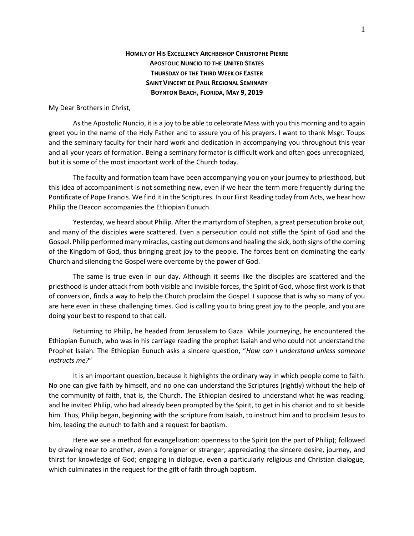## **HOMILY OF HIS EXCELLENCY ARCHBISHOP CHRISTOPHE PIERRE APOSTOLIC NUNCIO TO THE UNITED STATES THURSDAY OF THE THIRD WEEK OF EASTER SAINT VINCENT DE PAUL REGIONAL SEMINARY BOYNTON BEACH, FLORIDA, MAY 9, 2019**

My Dear Brothers in Christ,

As the Apostolic Nuncio, it is a joy to be able to celebrate Mass with you this morning and to again greet you in the name of the Holy Father and to assure you of his prayers. I want to thank Msgr. Toups and the seminary faculty for their hard work and dedication in accompanying you throughout this year and all your years of formation. Being a seminary formator is difficult work and often goes unrecognized, but it is some of the most important work of the Church today.

The faculty and formation team have been accompanying you on your journey to priesthood, but this idea of accompaniment is not something new, even if we hear the term more frequently during the Pontificate of Pope Francis. We find it in the Scriptures. In our First Reading today from Acts, we hear how Philip the Deacon accompanies the Ethiopian Eunuch.

Yesterday, we heard about Philip. After the martyrdom of Stephen, a great persecution broke out, and many of the disciples were scattered. Even a persecution could not stifle the Spirit of God and the Gospel. Philip performed many miracles, casting out demons and healing the sick, both signs of the coming of the Kingdom of God, thus bringing great joy to the people. The forces bent on dominating the early Church and silencing the Gospel were overcome by the power of God.

The same is true even in our day. Although it seems like the disciples are scattered and the priesthood is under attack from both visible and invisible forces, the Spirit of God, whose first work is that of conversion, finds a way to help the Church proclaim the Gospel. I suppose that is why so many of you are here even in these challenging times. God is calling you to bring great joy to the people, and you are doing your best to respond to that call.

Returning to Philip, he headed from Jerusalem to Gaza. While journeying, he encountered the Ethiopian Eunuch, who was in his carriage reading the prophet Isaiah and who could not understand the Prophet Isaiah. The Ethiopian Eunuch asks a sincere question, "*How can I understand unless someone instructs me?*"

It is an important question, because it highlights the ordinary way in which people come to faith. No one can give faith by himself, and no one can understand the Scriptures (rightly) without the help of the community of faith, that is, the Church. The Ethiopian desired to understand what he was reading, and he invited Philip, who had already been prompted by the Spirit, to get in his chariot and to sit beside him. Thus, Philip began, beginning with the scripture from Isaiah, to instruct him and to proclaim Jesus to him, leading the eunuch to faith and a request for baptism.

Here we see a method for evangelization: openness to the Spirit (on the part of Philip); followed by drawing near to another, even a foreigner or stranger; appreciating the sincere desire, journey, and thirst for knowledge of God; engaging in dialogue, even a particularly religious and Christian dialogue, which culminates in the request for the gift of faith through baptism.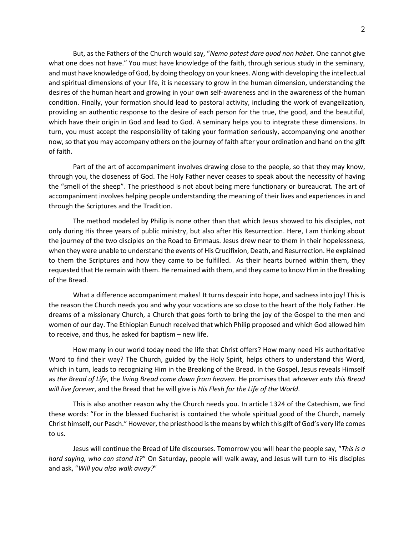But, as the Fathers of the Church would say, "*Nemo potest dare quod non habet.* One cannot give what one does not have." You must have knowledge of the faith, through serious study in the seminary, and must have knowledge of God, by doing theology on your knees. Along with developing the intellectual and spiritual dimensions of your life, it is necessary to grow in the human dimension, understanding the desires of the human heart and growing in your own self-awareness and in the awareness of the human condition. Finally, your formation should lead to pastoral activity, including the work of evangelization, providing an authentic response to the desire of each person for the true, the good, and the beautiful, which have their origin in God and lead to God. A seminary helps you to integrate these dimensions. In turn, you must accept the responsibility of taking your formation seriously, accompanying one another now, so that you may accompany others on the journey of faith after your ordination and hand on the gift of faith.

Part of the art of accompaniment involves drawing close to the people, so that they may know, through you, the closeness of God. The Holy Father never ceases to speak about the necessity of having the "smell of the sheep". The priesthood is not about being mere functionary or bureaucrat. The art of accompaniment involves helping people understanding the meaning of their lives and experiences in and through the Scriptures and the Tradition.

The method modeled by Philip is none other than that which Jesus showed to his disciples, not only during His three years of public ministry, but also after His Resurrection. Here, I am thinking about the journey of the two disciples on the Road to Emmaus. Jesus drew near to them in their hopelessness, when they were unable to understand the events of His Crucifixion, Death, and Resurrection. He explained to them the Scriptures and how they came to be fulfilled. As their hearts burned within them, they requested that He remain with them. He remained with them, and they came to know Him in the Breaking of the Bread.

What a difference accompaniment makes! It turns despair into hope, and sadness into joy! This is the reason the Church needs you and why your vocations are so close to the heart of the Holy Father. He dreams of a missionary Church, a Church that goes forth to bring the joy of the Gospel to the men and women of our day. The Ethiopian Eunuch received that which Philip proposed and which God allowed him to receive, and thus, he asked for baptism – new life.

How many in our world today need the life that Christ offers? How many need His authoritative Word to find their way? The Church, guided by the Holy Spirit, helps others to understand this Word, which in turn, leads to recognizing Him in the Breaking of the Bread. In the Gospel, Jesus reveals Himself as *the Bread of Life*, the *living Bread come down from heaven*. He promises that *whoever eats this Bread will live forever*, and the Bread that he will give is *His Flesh for the Life of the World*.

This is also another reason why the Church needs you. In article 1324 of the Catechism, we find these words: "For in the blessed Eucharist is contained the whole spiritual good of the Church, namely Christ himself, our Pasch." However, the priesthood is the means by which this gift of God's very life comes to us.

Jesus will continue the Bread of Life discourses. Tomorrow you will hear the people say, "*This is a hard saying, who can stand it?*" On Saturday, people will walk away, and Jesus will turn to His disciples and ask, "*Will you also walk away?*"